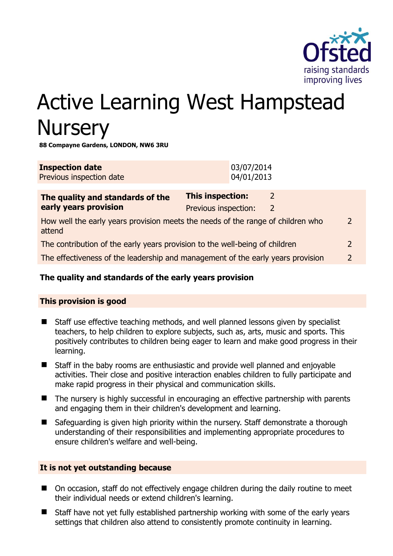

# Active Learning West Hampstead **Nursery**

**88 Compayne Gardens, LONDON, NW6 3RU** 

| <b>Inspection date</b><br>Previous inspection date                                                         | 03/07/2014<br>04/01/2013                                                           |  |
|------------------------------------------------------------------------------------------------------------|------------------------------------------------------------------------------------|--|
| The quality and standards of the<br>early years provision                                                  | <b>This inspection:</b><br>$\mathcal{L}$<br>Previous inspection:<br>$\overline{2}$ |  |
| How well the early years provision meets the needs of the range of children who<br>$\mathcal{P}$<br>attend |                                                                                    |  |
| The contribution of the early years provision to the well-being of children<br>$\mathcal{L}$               |                                                                                    |  |
| The effectiveness of the leadership and management of the early years provision<br>$\mathcal{P}$           |                                                                                    |  |
|                                                                                                            |                                                                                    |  |

# **The quality and standards of the early years provision**

# **This provision is good**

- Staff use effective teaching methods, and well planned lessons given by specialist teachers, to help children to explore subjects, such as, arts, music and sports. This positively contributes to children being eager to learn and make good progress in their learning.
- Staff in the baby rooms are enthusiastic and provide well planned and enjoyable activities. Their close and positive interaction enables children to fully participate and make rapid progress in their physical and communication skills.
- The nursery is highly successful in encouraging an effective partnership with parents and engaging them in their children's development and learning.
- Safeguarding is given high priority within the nursery. Staff demonstrate a thorough understanding of their responsibilities and implementing appropriate procedures to ensure children's welfare and well-being.

### **It is not yet outstanding because**

- On occasion, staff do not effectively engage children during the daily routine to meet their individual needs or extend children's learning.
- Staff have not yet fully established partnership working with some of the early years settings that children also attend to consistently promote continuity in learning.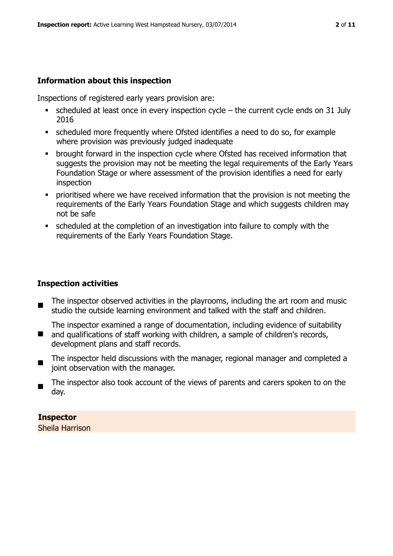# **Information about this inspection**

Inspections of registered early years provision are:

- $\bullet$  scheduled at least once in every inspection cycle the current cycle ends on 31 July 2016
- scheduled more frequently where Ofsted identifies a need to do so, for example where provision was previously judged inadequate
- **•** brought forward in the inspection cycle where Ofsted has received information that suggests the provision may not be meeting the legal requirements of the Early Years Foundation Stage or where assessment of the provision identifies a need for early inspection
- **Prioritised where we have received information that the provision is not meeting the** requirements of the Early Years Foundation Stage and which suggests children may not be safe
- scheduled at the completion of an investigation into failure to comply with the requirements of the Early Years Foundation Stage.

# **Inspection activities**

- The inspector observed activities in the playrooms, including the art room and music studio the outside learning environment and talked with the staff and children.
- $\blacksquare$ The inspector examined a range of documentation, including evidence of suitability and qualifications of staff working with children, a sample of children's records, development plans and staff records.
- $\blacksquare$ The inspector held discussions with the manager, regional manager and completed a joint observation with the manager.
- $\blacksquare$ The inspector also took account of the views of parents and carers spoken to on the day.

**Inspector**  Sheila Harrison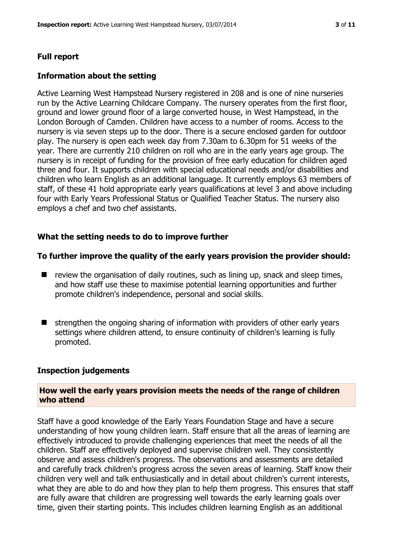#### **Full report**

#### **Information about the setting**

Active Learning West Hampstead Nursery registered in 208 and is one of nine nurseries run by the Active Learning Childcare Company. The nursery operates from the first floor, ground and lower ground floor of a large converted house, in West Hampstead, in the London Borough of Camden. Children have access to a number of rooms. Access to the nursery is via seven steps up to the door. There is a secure enclosed garden for outdoor play. The nursery is open each week day from 7.30am to 6.30pm for 51 weeks of the year. There are currently 210 children on roll who are in the early years age group. The nursery is in receipt of funding for the provision of free early education for children aged three and four. It supports children with special educational needs and/or disabilities and children who learn English as an additional language. It currently employs 63 members of staff, of these 41 hold appropriate early years qualifications at level 3 and above including four with Early Years Professional Status or Qualified Teacher Status. The nursery also employs a chef and two chef assistants.

#### **What the setting needs to do to improve further**

#### **To further improve the quality of the early years provision the provider should:**

- $\blacksquare$  review the organisation of daily routines, such as lining up, snack and sleep times, and how staff use these to maximise potential learning opportunities and further promote children's independence, personal and social skills.
- $\blacksquare$  strengthen the ongoing sharing of information with providers of other early years settings where children attend, to ensure continuity of children's learning is fully promoted.

#### **Inspection judgements**

#### **How well the early years provision meets the needs of the range of children who attend**

Staff have a good knowledge of the Early Years Foundation Stage and have a secure understanding of how young children learn. Staff ensure that all the areas of learning are effectively introduced to provide challenging experiences that meet the needs of all the children. Staff are effectively deployed and supervise children well. They consistently observe and assess children's progress. The observations and assessments are detailed and carefully track children's progress across the seven areas of learning. Staff know their children very well and talk enthusiastically and in detail about children's current interests, what they are able to do and how they plan to help them progress. This ensures that staff are fully aware that children are progressing well towards the early learning goals over time, given their starting points. This includes children learning English as an additional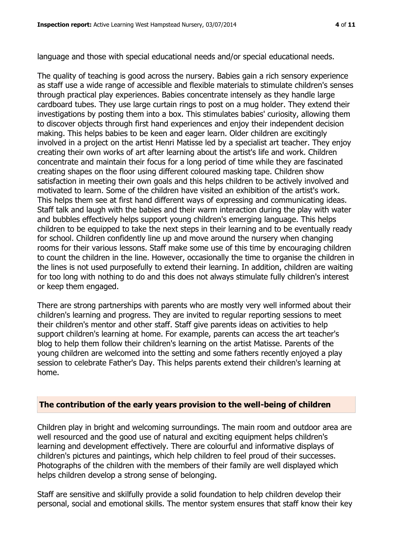language and those with special educational needs and/or special educational needs.

The quality of teaching is good across the nursery. Babies gain a rich sensory experience as staff use a wide range of accessible and flexible materials to stimulate children's senses through practical play experiences. Babies concentrate intensely as they handle large cardboard tubes. They use large curtain rings to post on a mug holder. They extend their investigations by posting them into a box. This stimulates babies' curiosity, allowing them to discover objects through first hand experiences and enjoy their independent decision making. This helps babies to be keen and eager learn. Older children are excitingly involved in a project on the artist Henri Matisse led by a specialist art teacher. They enjoy creating their own works of art after learning about the artist's life and work. Children concentrate and maintain their focus for a long period of time while they are fascinated creating shapes on the floor using different coloured masking tape. Children show satisfaction in meeting their own goals and this helps children to be actively involved and motivated to learn. Some of the children have visited an exhibition of the artist's work. This helps them see at first hand different ways of expressing and communicating ideas. Staff talk and laugh with the babies and their warm interaction during the play with water and bubbles effectively helps support young children's emerging language. This helps children to be equipped to take the next steps in their learning and to be eventually ready for school. Children confidently line up and move around the nursery when changing rooms for their various lessons. Staff make some use of this time by encouraging children to count the children in the line. However, occasionally the time to organise the children in the lines is not used purposefully to extend their learning. In addition, children are waiting for too long with nothing to do and this does not always stimulate fully children's interest or keep them engaged.

There are strong partnerships with parents who are mostly very well informed about their children's learning and progress. They are invited to regular reporting sessions to meet their children's mentor and other staff. Staff give parents ideas on activities to help support children's learning at home. For example, parents can access the art teacher's blog to help them follow their children's learning on the artist Matisse. Parents of the young children are welcomed into the setting and some fathers recently enjoyed a play session to celebrate Father's Day. This helps parents extend their children's learning at home.

### **The contribution of the early years provision to the well-being of children**

Children play in bright and welcoming surroundings. The main room and outdoor area are well resourced and the good use of natural and exciting equipment helps children's learning and development effectively. There are colourful and informative displays of children's pictures and paintings, which help children to feel proud of their successes. Photographs of the children with the members of their family are well displayed which helps children develop a strong sense of belonging.

Staff are sensitive and skilfully provide a solid foundation to help children develop their personal, social and emotional skills. The mentor system ensures that staff know their key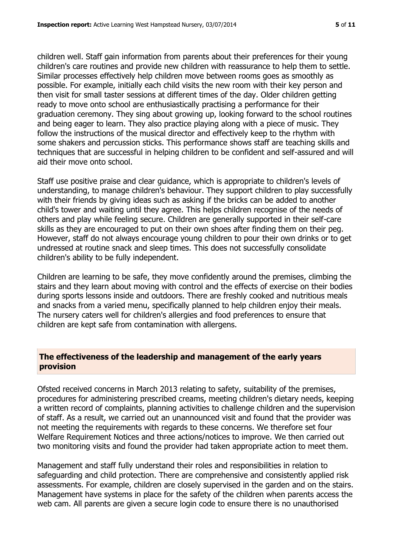children well. Staff gain information from parents about their preferences for their young children's care routines and provide new children with reassurance to help them to settle. Similar processes effectively help children move between rooms goes as smoothly as possible. For example, initially each child visits the new room with their key person and then visit for small taster sessions at different times of the day. Older children getting ready to move onto school are enthusiastically practising a performance for their graduation ceremony. They sing about growing up, looking forward to the school routines and being eager to learn. They also practice playing along with a piece of music. They follow the instructions of the musical director and effectively keep to the rhythm with some shakers and percussion sticks. This performance shows staff are teaching skills and techniques that are successful in helping children to be confident and self-assured and will aid their move onto school.

Staff use positive praise and clear guidance, which is appropriate to children's levels of understanding, to manage children's behaviour. They support children to play successfully with their friends by giving ideas such as asking if the bricks can be added to another child's tower and waiting until they agree. This helps children recognise of the needs of others and play while feeling secure. Children are generally supported in their self-care skills as they are encouraged to put on their own shoes after finding them on their peg. However, staff do not always encourage young children to pour their own drinks or to get undressed at routine snack and sleep times. This does not successfully consolidate children's ability to be fully independent.

Children are learning to be safe, they move confidently around the premises, climbing the stairs and they learn about moving with control and the effects of exercise on their bodies during sports lessons inside and outdoors. There are freshly cooked and nutritious meals and snacks from a varied menu, specifically planned to help children enjoy their meals. The nursery caters well for children's allergies and food preferences to ensure that children are kept safe from contamination with allergens.

# **The effectiveness of the leadership and management of the early years provision**

Ofsted received concerns in March 2013 relating to safety, suitability of the premises, procedures for administering prescribed creams, meeting children's dietary needs, keeping a written record of complaints, planning activities to challenge children and the supervision of staff. As a result, we carried out an unannounced visit and found that the provider was not meeting the requirements with regards to these concerns. We therefore set four Welfare Requirement Notices and three actions/notices to improve. We then carried out two monitoring visits and found the provider had taken appropriate action to meet them.

Management and staff fully understand their roles and responsibilities in relation to safeguarding and child protection. There are comprehensive and consistently applied risk assessments. For example, children are closely supervised in the garden and on the stairs. Management have systems in place for the safety of the children when parents access the web cam. All parents are given a secure login code to ensure there is no unauthorised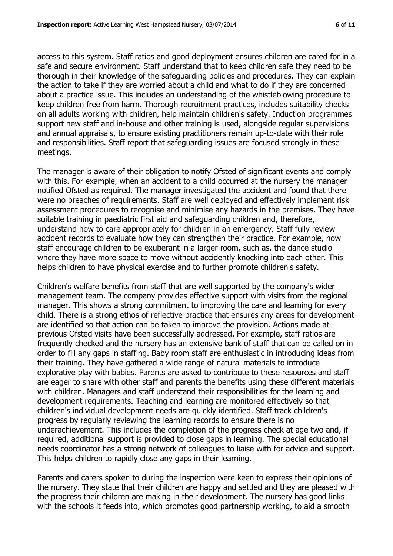access to this system. Staff ratios and good deployment ensures children are cared for in a safe and secure environment. Staff understand that to keep children safe they need to be thorough in their knowledge of the safeguarding policies and procedures. They can explain the action to take if they are worried about a child and what to do if they are concerned about a practice issue. This includes an understanding of the whistleblowing procedure to keep children free from harm. Thorough recruitment practices, includes suitability checks on all adults working with children, help maintain children's safety. Induction programmes support new staff and in-house and other training is used, alongside regular supervisions and annual appraisals, to ensure existing practitioners remain up-to-date with their role and responsibilities. Staff report that safeguarding issues are focused strongly in these meetings.

The manager is aware of their obligation to notify Ofsted of significant events and comply with this. For example, when an accident to a child occurred at the nursery the manager notified Ofsted as required. The manager investigated the accident and found that there were no breaches of requirements. Staff are well deployed and effectively implement risk assessment procedures to recognise and minimise any hazards in the premises. They have suitable training in paediatric first aid and safeguarding children and, therefore, understand how to care appropriately for children in an emergency. Staff fully review accident records to evaluate how they can strengthen their practice. For example, now staff encourage children to be exuberant in a larger room, such as, the dance studio where they have more space to move without accidently knocking into each other. This helps children to have physical exercise and to further promote children's safety.

Children's welfare benefits from staff that are well supported by the company's wider management team. The company provides effective support with visits from the regional manager. This shows a strong commitment to improving the care and learning for every child. There is a strong ethos of reflective practice that ensures any areas for development are identified so that action can be taken to improve the provision. Actions made at previous Ofsted visits have been successfully addressed. For example, staff ratios are frequently checked and the nursery has an extensive bank of staff that can be called on in order to fill any gaps in staffing. Baby room staff are enthusiastic in introducing ideas from their training. They have gathered a wide range of natural materials to introduce explorative play with babies. Parents are asked to contribute to these resources and staff are eager to share with other staff and parents the benefits using these different materials with children. Managers and staff understand their responsibilities for the learning and development requirements. Teaching and learning are monitored effectively so that children's individual development needs are quickly identified. Staff track children's progress by regularly reviewing the learning records to ensure there is no underachievement. This includes the completion of the progress check at age two and, if required, additional support is provided to close gaps in learning. The special educational needs coordinator has a strong network of colleagues to liaise with for advice and support. This helps children to rapidly close any gaps in their learning.

Parents and carers spoken to during the inspection were keen to express their opinions of the nursery. They state that their children are happy and settled and they are pleased with the progress their children are making in their development. The nursery has good links with the schools it feeds into, which promotes good partnership working, to aid a smooth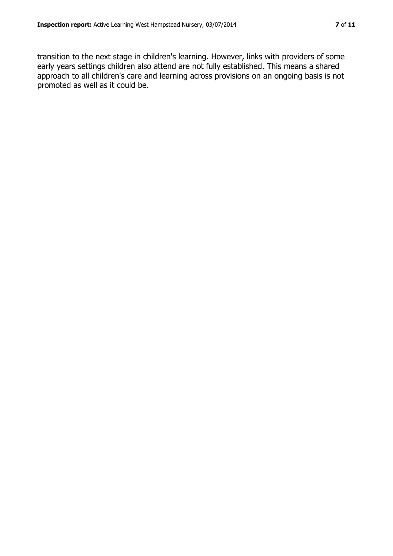transition to the next stage in children's learning. However, links with providers of some early years settings children also attend are not fully established. This means a shared approach to all children's care and learning across provisions on an ongoing basis is not promoted as well as it could be.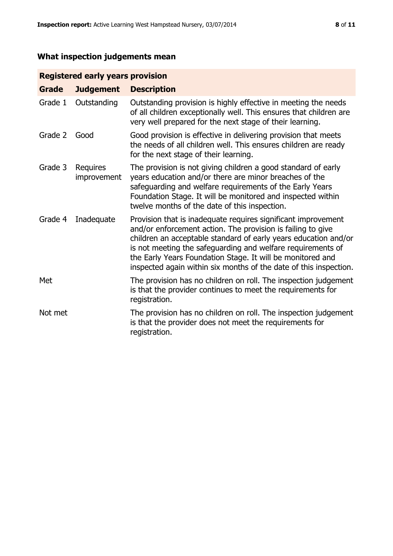# **What inspection judgements mean**

# **Registered early years provision**

| <b>Grade</b> | <b>Judgement</b>        | <b>Description</b>                                                                                                                                                                                                                                                                                                                                                                                |
|--------------|-------------------------|---------------------------------------------------------------------------------------------------------------------------------------------------------------------------------------------------------------------------------------------------------------------------------------------------------------------------------------------------------------------------------------------------|
| Grade 1      | Outstanding             | Outstanding provision is highly effective in meeting the needs<br>of all children exceptionally well. This ensures that children are<br>very well prepared for the next stage of their learning.                                                                                                                                                                                                  |
| Grade 2      | Good                    | Good provision is effective in delivering provision that meets<br>the needs of all children well. This ensures children are ready<br>for the next stage of their learning.                                                                                                                                                                                                                        |
| Grade 3      | Requires<br>improvement | The provision is not giving children a good standard of early<br>years education and/or there are minor breaches of the<br>safeguarding and welfare requirements of the Early Years<br>Foundation Stage. It will be monitored and inspected within<br>twelve months of the date of this inspection.                                                                                               |
| Grade 4      | Inadequate              | Provision that is inadequate requires significant improvement<br>and/or enforcement action. The provision is failing to give<br>children an acceptable standard of early years education and/or<br>is not meeting the safeguarding and welfare requirements of<br>the Early Years Foundation Stage. It will be monitored and<br>inspected again within six months of the date of this inspection. |
| Met          |                         | The provision has no children on roll. The inspection judgement<br>is that the provider continues to meet the requirements for<br>registration.                                                                                                                                                                                                                                                   |
| Not met      |                         | The provision has no children on roll. The inspection judgement<br>is that the provider does not meet the requirements for<br>registration.                                                                                                                                                                                                                                                       |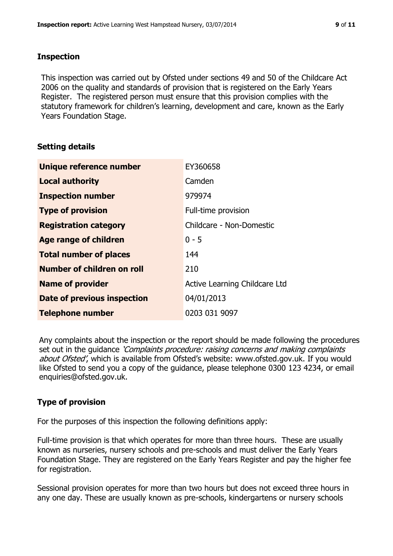## **Inspection**

This inspection was carried out by Ofsted under sections 49 and 50 of the Childcare Act 2006 on the quality and standards of provision that is registered on the Early Years Register. The registered person must ensure that this provision complies with the statutory framework for children's learning, development and care, known as the Early Years Foundation Stage.

# **Setting details**

| Unique reference number       | EY360658                      |
|-------------------------------|-------------------------------|
| <b>Local authority</b>        | Camden                        |
| <b>Inspection number</b>      | 979974                        |
| <b>Type of provision</b>      | Full-time provision           |
| <b>Registration category</b>  | Childcare - Non-Domestic      |
| <b>Age range of children</b>  | $0 - 5$                       |
| <b>Total number of places</b> | 144                           |
| Number of children on roll    | 210                           |
| <b>Name of provider</b>       | Active Learning Childcare Ltd |
| Date of previous inspection   | 04/01/2013                    |
| <b>Telephone number</b>       | 0203 031 9097                 |

Any complaints about the inspection or the report should be made following the procedures set out in the guidance *'Complaints procedure: raising concerns and making complaints* about Ofsted', which is available from Ofsted's website: www.ofsted.gov.uk. If you would like Ofsted to send you a copy of the guidance, please telephone 0300 123 4234, or email enquiries@ofsted.gov.uk.

# **Type of provision**

For the purposes of this inspection the following definitions apply:

Full-time provision is that which operates for more than three hours. These are usually known as nurseries, nursery schools and pre-schools and must deliver the Early Years Foundation Stage. They are registered on the Early Years Register and pay the higher fee for registration.

Sessional provision operates for more than two hours but does not exceed three hours in any one day. These are usually known as pre-schools, kindergartens or nursery schools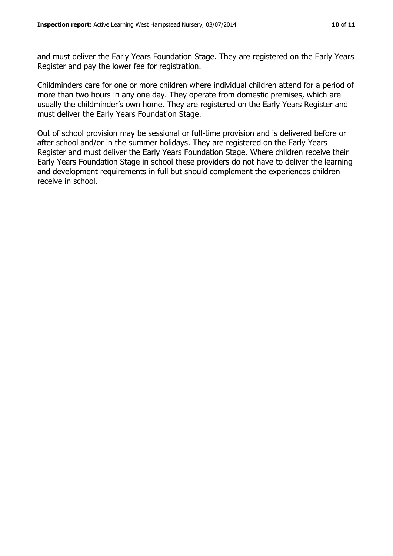and must deliver the Early Years Foundation Stage. They are registered on the Early Years Register and pay the lower fee for registration.

Childminders care for one or more children where individual children attend for a period of more than two hours in any one day. They operate from domestic premises, which are usually the childminder's own home. They are registered on the Early Years Register and must deliver the Early Years Foundation Stage.

Out of school provision may be sessional or full-time provision and is delivered before or after school and/or in the summer holidays. They are registered on the Early Years Register and must deliver the Early Years Foundation Stage. Where children receive their Early Years Foundation Stage in school these providers do not have to deliver the learning and development requirements in full but should complement the experiences children receive in school.